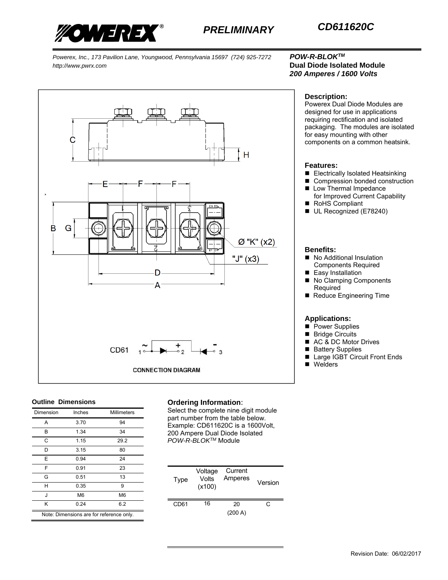

# *200 Amperes / 1600 Volts*



#### **Outline Dimensions**

| Dimension                                | Inches         | Millimeters    |  |
|------------------------------------------|----------------|----------------|--|
|                                          |                |                |  |
| A                                        | 3.70           | 94             |  |
| B                                        | 1.34           | 34             |  |
| C                                        | 1.15           | 29.2           |  |
| D                                        | 3.15           | 80             |  |
| Е                                        | 0.94           | 24             |  |
| F                                        | 0.91           | 23             |  |
| G                                        | 0.51           | 13             |  |
| н                                        | 0.35           | 9              |  |
| J                                        | M <sub>6</sub> | M <sub>6</sub> |  |
| κ                                        | 0.24           | 6.2            |  |
| Note: Dimensions are for reference only. |                |                |  |

#### **Ordering Information**:

Select the complete nine digit module part number from the table below. Example: CD611620C is a 1600Volt, 200 Ampere Dual Diode Isolated *POW-R-BLOKTM* Module

| Type | Voltage<br>Volts<br>(x100) | Current<br>Amperes | Version |
|------|----------------------------|--------------------|---------|
| CD61 | 16                         | 20<br>(200 A)      | C.      |

### **Description:**

Powerex Dual Diode Modules are designed for use in applications requiring rectification and isolated packaging. The modules are isolated for easy mounting with other components on a common heatsink.

#### **Features:**

- Electrically Isolated Heatsinking
- Compression bonded construction
- **Low Thermal Impedance** for Improved Current Capability
- RoHS Compliant
- UL Recognized (E78240)

#### **Benefits:**

- No Additional Insulation Components Required
- Easy Installation
- No Clamping Components Required
- Reduce Engineering Time

#### **Applications:**

- **Power Supplies**
- **Bridge Circuits**
- AC & DC Motor Drives
- **Battery Supplies**
- Large IGBT Circuit Front Ends
- Welders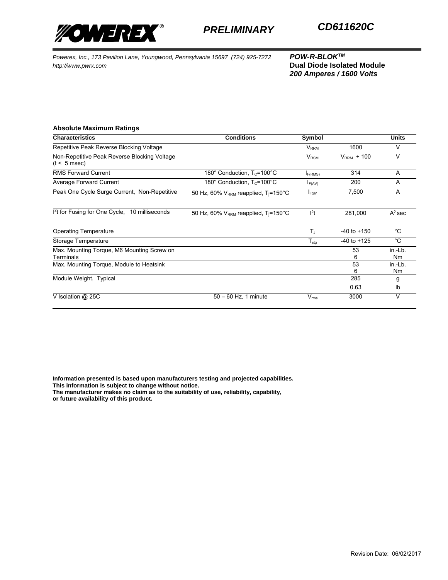

*200 Amperes / 1600 Volts*

#### **Absolute Maximum Ratings**

| <b>Characteristics</b>                                         | <b>Conditions</b>                                            | Symbol                      |                 | <b>Units</b>              |
|----------------------------------------------------------------|--------------------------------------------------------------|-----------------------------|-----------------|---------------------------|
| Repetitive Peak Reverse Blocking Voltage                       |                                                              | $\mathsf{V}_{\mathsf{RRM}}$ | 1600            | v                         |
| Non-Repetitive Peak Reverse Blocking Voltage<br>$(t < 5$ msec) |                                                              | $V_{\rm RSM}$               | $VRRM + 100$    | v                         |
| <b>RMS Forward Current</b>                                     | 180 $^{\circ}$ Conduction, T <sub>c</sub> =100 $^{\circ}$ C  | $I_{F(RMS)}$                | 314             | A                         |
| Average Forward Current                                        | 180 $^{\circ}$ Conduction, T <sub>c</sub> =100 $^{\circ}$ C  | $I_{F(AV)}$                 | 200             | A                         |
| Peak One Cycle Surge Current, Non-Repetitive                   | 50 Hz, 60% $V_{RRM}$ reapplied, T <sub>i</sub> =150 °C       | <b>IFSM</b>                 | 7,500           | A                         |
| I <sup>2</sup> t for Fusing for One Cycle,<br>10 milliseconds  | 50 Hz, 60% V <sub>RRM</sub> reapplied, T <sub>j</sub> =150°C | $l^2t$                      | 281,000         | $A^2$ sec                 |
| <b>Operating Temperature</b>                                   |                                                              | $T_{\rm J}$                 | $-40$ to $+150$ | °C                        |
| Storage Temperature                                            |                                                              | $T_{\text{stg}}$            | $-40$ to $+125$ | °C                        |
| Max. Mounting Torque, M6 Mounting Screw on<br>Terminals        |                                                              |                             | 53<br>6         | in.-Lb.<br>N <sub>m</sub> |
| Max. Mounting Torque, Module to Heatsink                       |                                                              |                             | 53<br>6         | in.-Lb.<br>N <sub>m</sub> |
| Module Weight, Typical                                         |                                                              |                             | 285             | g                         |
|                                                                |                                                              |                             | 0.63            | Ib                        |
| V Isolation $@$ 25C                                            | $50 - 60$ Hz, 1 minute                                       | $V_{\rm rms}$               | 3000            | v                         |

**Information presented is based upon manufacturers testing and projected capabilities. This information is subject to change without notice.** 

**The manufacturer makes no claim as to the suitability of use, reliability, capability,** 

**or future availability of this product.**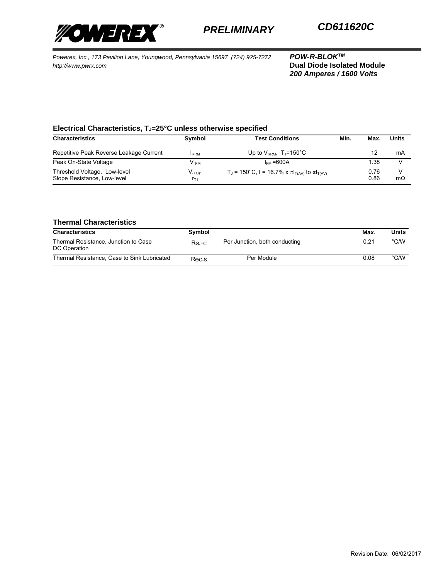

*200 Amperes / 1600 Volts*

## Electrical Characteristics, T<sub>J</sub>=25°C unless otherwise specified

| <b>Characteristics</b>                                      | Symbol                  | <b>Test Conditions</b>                                  | Min. | Max.         | <b>Units</b> |
|-------------------------------------------------------------|-------------------------|---------------------------------------------------------|------|--------------|--------------|
|                                                             |                         |                                                         |      |              |              |
| Repetitive Peak Reverse Leakage Current                     | <b>IRRM</b>             | Up to $V_{RRM}$ , T <sub>J</sub> =150°C                 |      |              | mA           |
| Peak On-State Voltage                                       | V <sub>FM</sub>         | $I_{FM}$ = 600A                                         |      | 1.38         |              |
| Threshold Voltage, Low-level<br>Slope Resistance, Low-level | $V_{(TO)1}$<br>$r_{T1}$ | $T_1$ = 150°C, I = 16.7% x π $I_{T(A)}$ to π $I_{T(A)}$ |      | 0.76<br>0.86 | $m\Omega$    |

## **Thermal Characteristics**

| <b>Characteristics</b>                               | Symbol       |                               | Max. | Units         |
|------------------------------------------------------|--------------|-------------------------------|------|---------------|
| Thermal Resistance, Junction to Case<br>DC Operation | Roj-c        | Per Junction, both conducting | 0.21 | $\degree$ C/W |
| Thermal Resistance, Case to Sink Lubricated          | $R\odot c-S$ | Per Module                    | 0.08 | $\degree$ C/W |